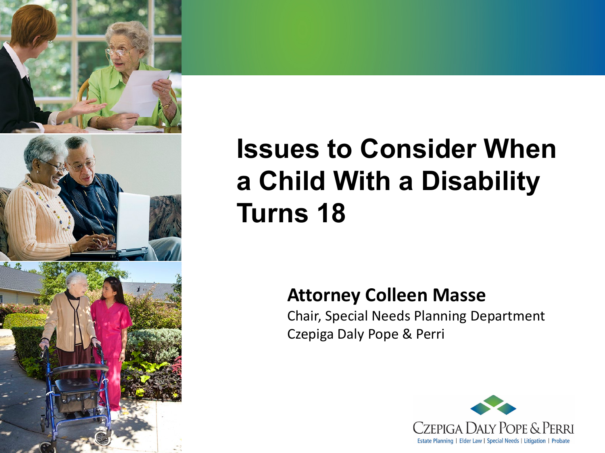

## **Issues to Consider When a Child With a Disability Turns 18**

#### **Attorney Colleen Masse**

Chair, Special Needs Planning Department Czepiga Daly Pope & Perri

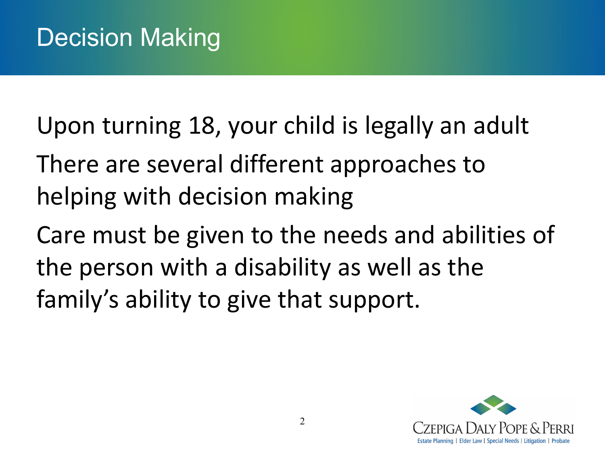Upon turning 18, your child is legally an adult

There are several different approaches to helping with decision making

Care must be given to the needs and abilities of the person with a disability as well as the family's ability to give that support.

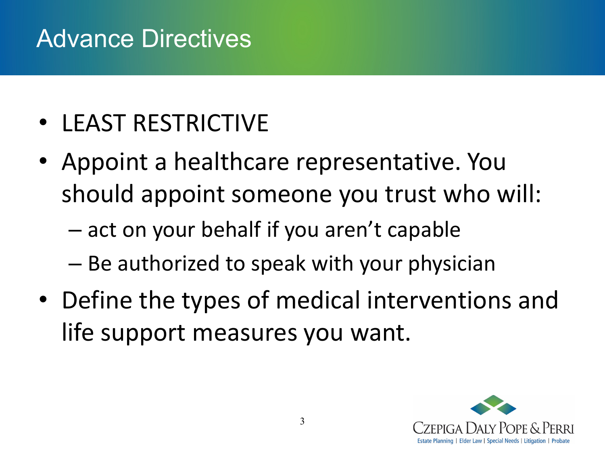#### Advance Directives

- LEAST RESTRICTIVE
- Appoint a healthcare representative. You should appoint someone you trust who will:
	- act on your behalf if you aren't capable
	- Be authorized to speak with your physician
- Define the types of medical interventions and life support measures you want.

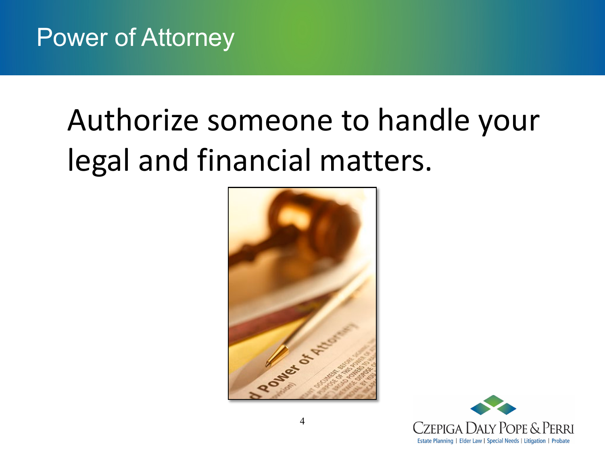## Authorize someone to handle your legal and financial matters.



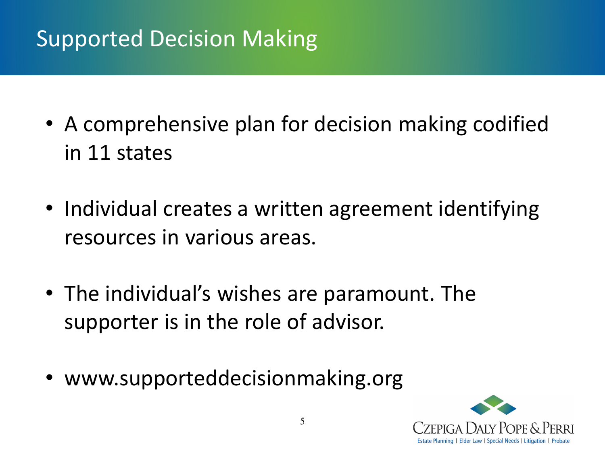#### Supported Decision Making

- A comprehensive plan for decision making codified in 11 states
- Individual creates a written agreement identifying resources in various areas.
- The individual's wishes are paramount. The supporter is in the role of advisor.
- www.supporteddecisionmaking.org

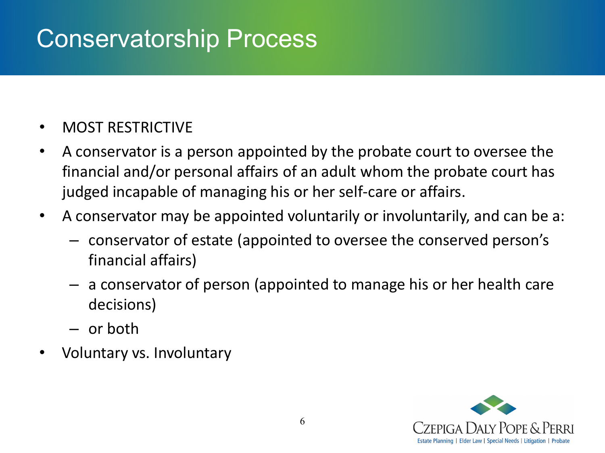#### Conservatorship Process

- MOST RESTRICTIVE
- A conservator is a person appointed by the probate court to oversee the financial and/or personal affairs of an adult whom the probate court has judged incapable of managing his or her self-care or affairs.
- A conservator may be appointed voluntarily or involuntarily, and can be a:
	- conservator of estate (appointed to oversee the conserved person's financial affairs)
	- a conservator of person (appointed to manage his or her health care decisions)
	- or both
- Voluntary vs. Involuntary

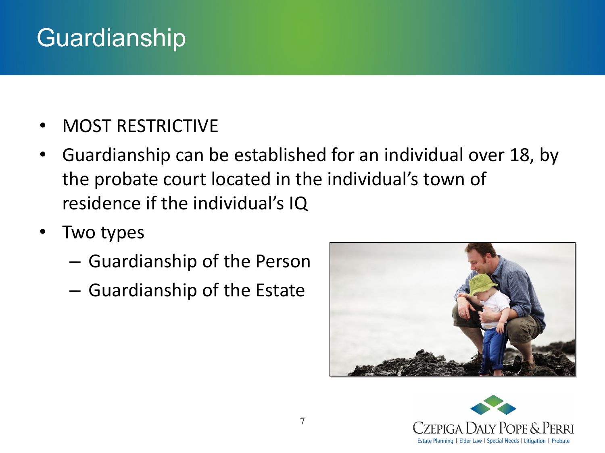#### Guardianship

- MOST RESTRICTIVE
- Guardianship can be established for an individual over 18, by the probate court located in the individual's town of residence if the individual's IQ
- Two types
	- Guardianship of the Person
	- Guardianship of the Estate



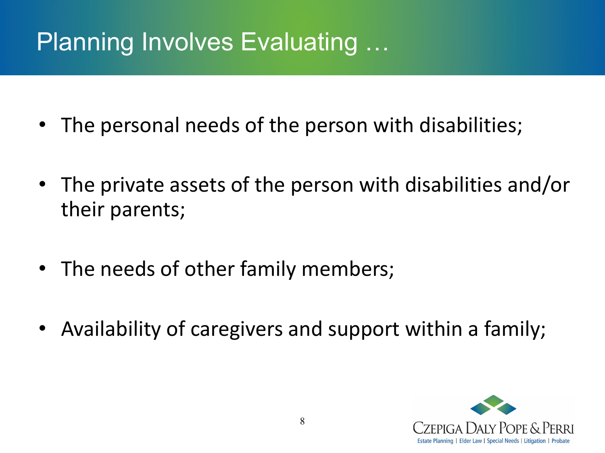## Planning Involves Evaluating …

- The personal needs of the person with disabilities;
- The private assets of the person with disabilities and/or their parents;
- The needs of other family members;
- Availability of caregivers and support within a family;

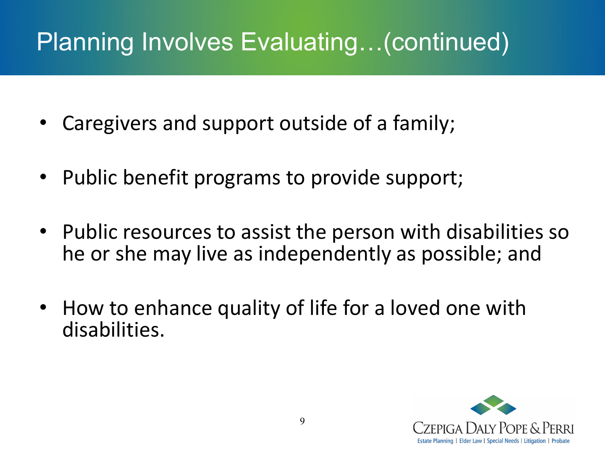## Planning Involves Evaluating…(continued)

- Caregivers and support outside of a family;
- Public benefit programs to provide support;
- Public resources to assist the person with disabilities so he or she may live as independently as possible; and
- How to enhance quality of life for a loved one with disabilities.

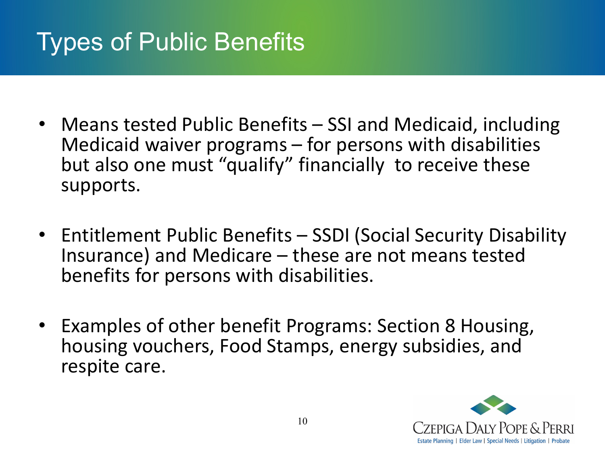#### Types of Public Benefits

- Means tested Public Benefits SSI and Medicaid, including Medicaid waiver programs – for persons with disabilities but also one must "qualify" financially to receive these supports.
- Entitlement Public Benefits SSDI (Social Security Disability Insurance) and Medicare – these are not means tested benefits for persons with disabilities.
- Examples of other benefit Programs: Section 8 Housing, housing vouchers, Food Stamps, energy subsidies, and respite care.

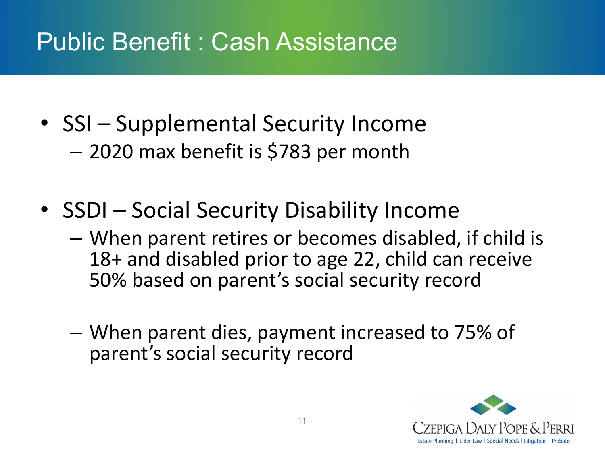#### Public Benefit : Cash Assistance

- SSI Supplemental Security Income – 2020 max benefit is \$783 per month
- SSDI Social Security Disability Income
	- When parent retires or becomes disabled, if child is 18+ and disabled prior to age 22, child can receive 50% based on parent's social security record
	- When parent dies, payment increased to 75% of parent's social security record

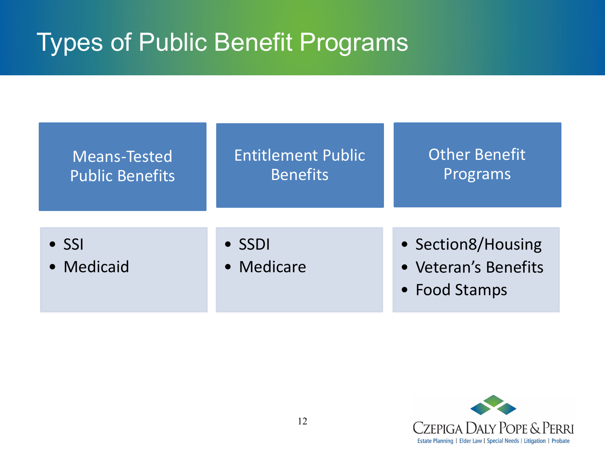#### Types of Public Benefit Programs

| <b>Means-Tested</b>         | <b>Entitlement Public</b>    | <b>Other Benefit</b>                                        |
|-----------------------------|------------------------------|-------------------------------------------------------------|
| <b>Public Benefits</b>      | <b>Benefits</b>              | Programs                                                    |
| $\bullet$ SSI<br>• Medicaid | $\bullet$ SSDI<br>• Medicare | • Section8/Housing<br>• Veteran's Benefits<br>• Food Stamps |

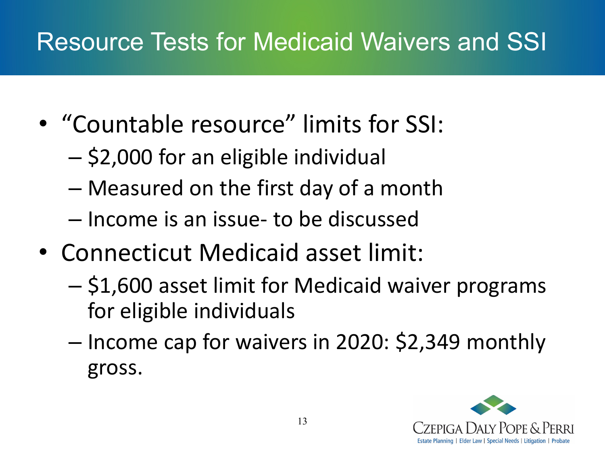### Resource Tests for Medicaid Waivers and SSI

- "Countable resource" limits for SSI:
	- \$2,000 for an eligible individual
	- Measured on the first day of a month
	- Income is an issue- to be discussed
- Connecticut Medicaid asset limit:
	- \$1,600 asset limit for Medicaid waiver programs for eligible individuals
	- Income cap for waivers in 2020: \$2,349 monthly gross.

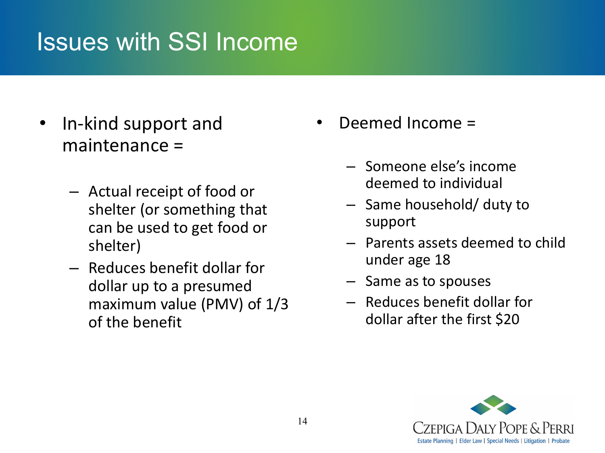#### Issues with SSI Income

- In-kind support and maintenance =
	- Actual receipt of food or shelter (or something that can be used to get food or shelter)
	- Reduces benefit dollar for dollar up to a presumed maximum value (PMV) of 1/3 of the benefit
- Deemed Income =
	- Someone else's income deemed to individual
	- Same household/ duty to support
	- Parents assets deemed to child under age 18
	- Same as to spouses
	- Reduces benefit dollar for dollar after the first \$20

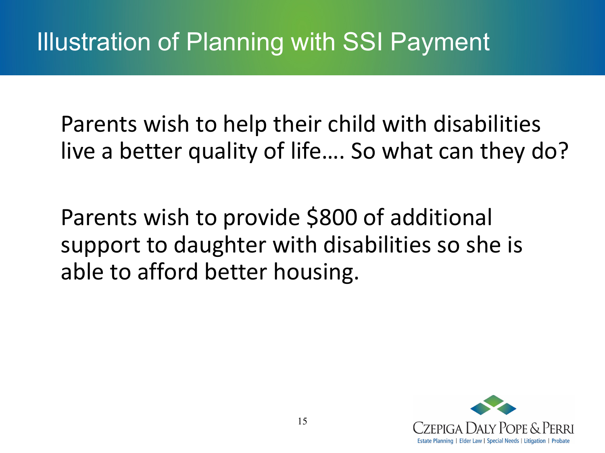Parents wish to help their child with disabilities live a better quality of life…. So what can they do?

Parents wish to provide \$800 of additional support to daughter with disabilities so she is able to afford better housing.

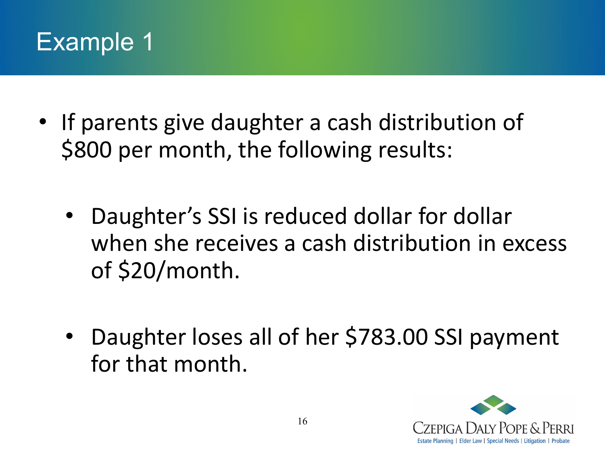

- If parents give daughter a cash distribution of \$800 per month, the following results:
	- Daughter's SSI is reduced dollar for dollar when she receives a cash distribution in excess of \$20/month.
	- Daughter loses all of her \$783.00 SSI payment for that month.

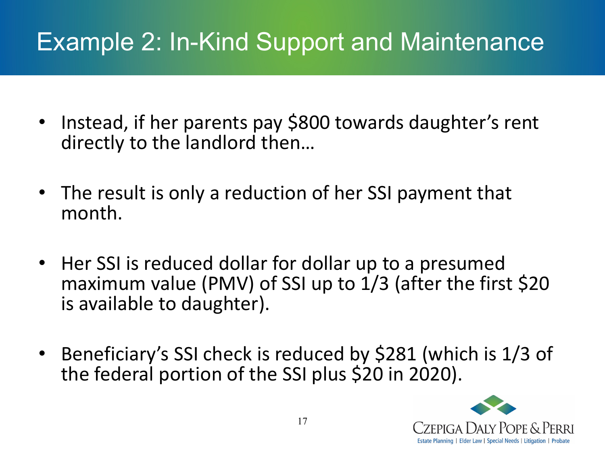## Example 2: In-Kind Support and Maintenance

- Instead, if her parents pay \$800 towards daughter's rent directly to the landlord then…
- The result is only a reduction of her SSI payment that month.
- Her SSI is reduced dollar for dollar up to a presumed maximum value (PMV) of SSI up to 1/3 (after the first \$20 is available to daughter).
- Beneficiary's SSI check is reduced by \$281 (which is 1/3 of the federal portion of the SSI plus \$20 in 2020).

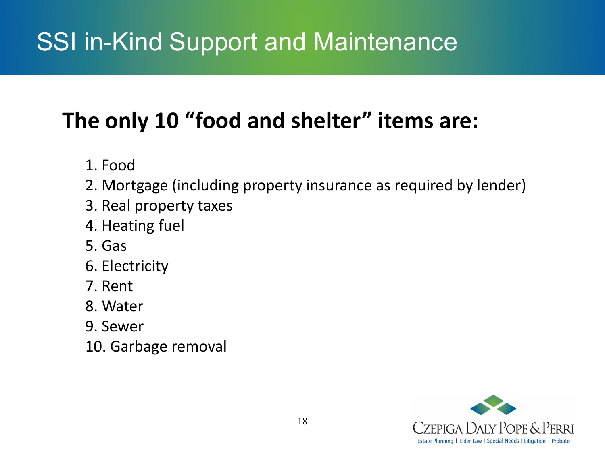## SSI in-Kind Support and Maintenance

#### **The only 10 "food and shelter" items are:**

- 1. Food
- 2. Mortgage (including property insurance as required by lender)
- 3. Real property taxes
- 4. Heating fuel
- 5. Gas
- 6. Electricity
- 7. Rent
- 8. Water
- 9. Sewer
- 10. Garbage removal

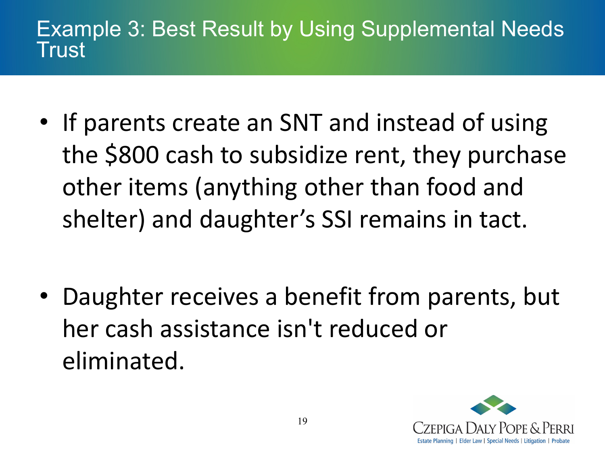#### Example 3: Best Result by Using Supplemental Needs Trust

• If parents create an SNT and instead of using the \$800 cash to subsidize rent, they purchase other items (anything other than food and shelter) and daughter's SSI remains in tact.

• Daughter receives a benefit from parents, but her cash assistance isn't reduced or eliminated.

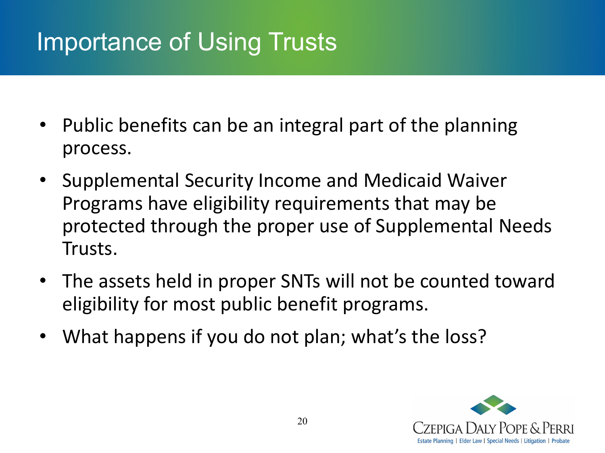### Importance of Using Trusts

- Public benefits can be an integral part of the planning process.
- Supplemental Security Income and Medicaid Waiver Programs have eligibility requirements that may be protected through the proper use of Supplemental Needs Trusts.
- The assets held in proper SNTs will not be counted toward eligibility for most public benefit programs.
- What happens if you do not plan; what's the loss?

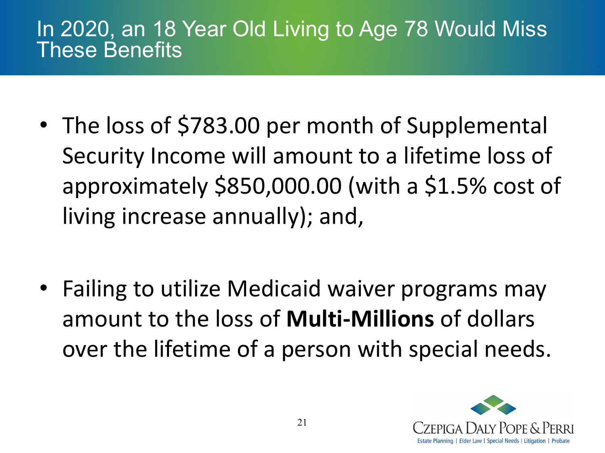#### In 2020, an 18 Year Old Living to Age 78 Would Miss These Benefits

• The loss of \$783.00 per month of Supplemental Security Income will amount to a lifetime loss of approximately \$850,000.00 (with a \$1.5% cost of living increase annually); and,

• Failing to utilize Medicaid waiver programs may amount to the loss of **Multi-Millions** of dollars over the lifetime of a person with special needs.